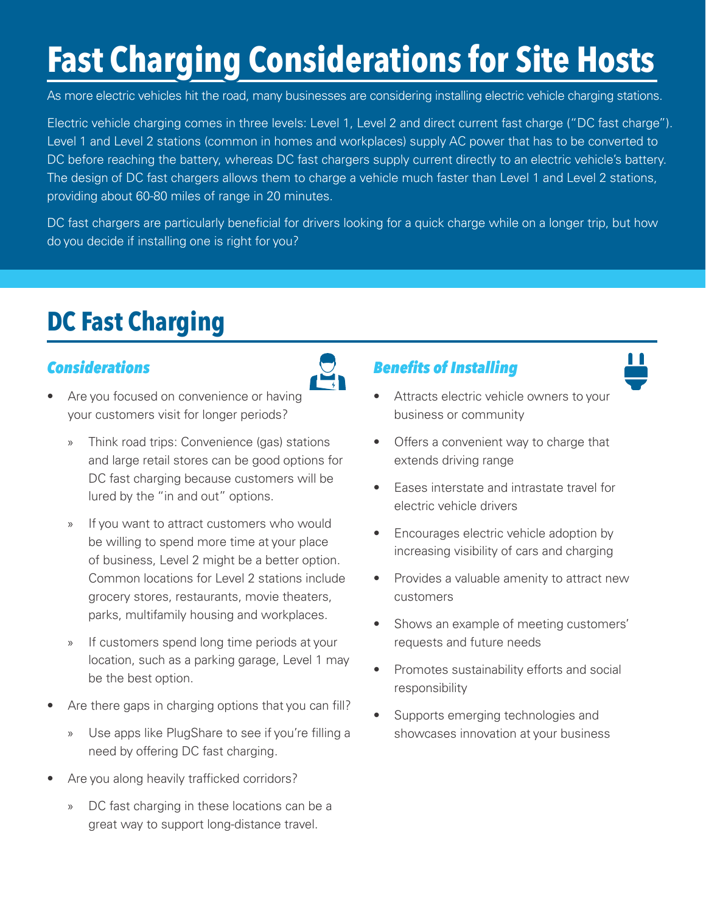# **Fast Charging Considerations for Site Hosts**

As more electric vehicles hit the road, many businesses are considering installing electric vehicle charging stations.

Electric vehicle charging comes in three levels: Level 1, Level 2 and direct current fast charge ("DC fast charge"). Level 1 and Level 2 stations (common in homes and workplaces) supply AC power that has to be converted to DC before reaching the battery, whereas DC fast chargers supply current directly to an electric vehicle's battery. The design of DC fast chargers allows them to charge a vehicle much faster than Level 1 and Level 2 stations, providing about 60-80 miles of range in 20 minutes.

DC fast chargers are particularly beneficial for drivers looking for a quick charge while on a longer trip, but how do you decide if installing one is right for you?

# **DC Fast Charging**

#### *Considerations*

- Are you focused on convenience or having your customers visit for longer periods?
	- » Think road trips: Convenience (gas) stations and large retail stores can be good options for DC fast charging because customers will be lured by the "in and out" options.
	- » If you want to attract customers who would be willing to spend more time at your place of business, Level 2 might be a better option. Common locations for Level 2 stations include grocery stores, restaurants, movie theaters, parks, multifamily housing and workplaces.
	- » If customers spend long time periods at your location, such as a parking garage, Level 1 may be the best option.
- Are there gaps in charging options that you can fill?
	- » Use apps like PlugShare to see if you're filling a need by offering DC fast charging.
- Are you along heavily trafficked corridors?
	- » DC fast charging in these locations can be a great way to support long-distance travel.

#### *Benefits of Installing*



- Attracts electric vehicle owners to your business or community
- Offers a convenient way to charge that extends driving range
- Eases interstate and intrastate travel for electric vehicle drivers
- Encourages electric vehicle adoption by increasing visibility of cars and charging
- Provides a valuable amenity to attract new customers
- Shows an example of meeting customers' requests and future needs
- Promotes sustainability efforts and social responsibility
- Supports emerging technologies and showcases innovation at your business